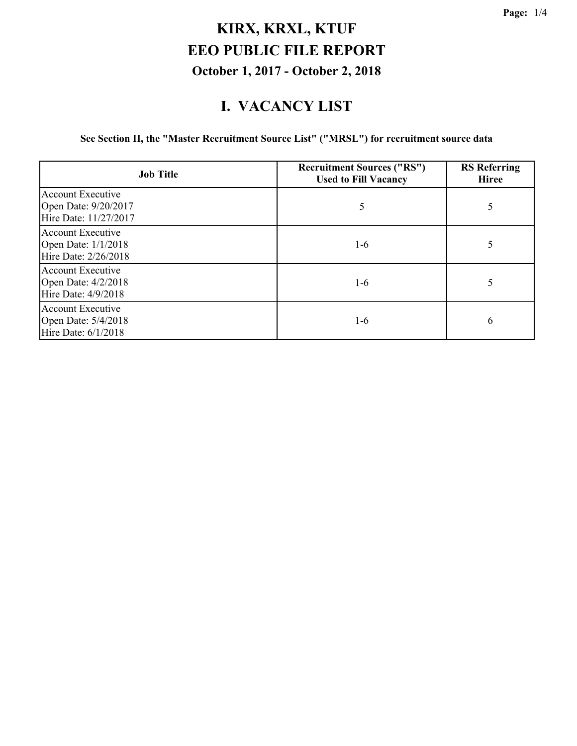#### **I. VACANCY LIST**

**See Section II, the "Master Recruitment Source List" ("MRSL") for recruitment source data**

| <b>Job Title</b>                                                          | <b>Recruitment Sources ("RS")</b><br><b>Used to Fill Vacancy</b> | <b>RS</b> Referring<br><b>Hiree</b> |
|---------------------------------------------------------------------------|------------------------------------------------------------------|-------------------------------------|
| <b>Account Executive</b><br>Open Date: 9/20/2017<br>Hire Date: 11/27/2017 | 5                                                                | 5                                   |
| <b>Account Executive</b><br>Open Date: 1/1/2018<br>Hire Date: 2/26/2018   | $1-6$                                                            | 5                                   |
| Account Executive<br>Open Date: 4/2/2018<br>Hire Date: 4/9/2018           | $1-6$                                                            |                                     |
| Account Executive<br>Open Date: 5/4/2018<br>Hire Date: 6/1/2018           | 1-6                                                              | 6                                   |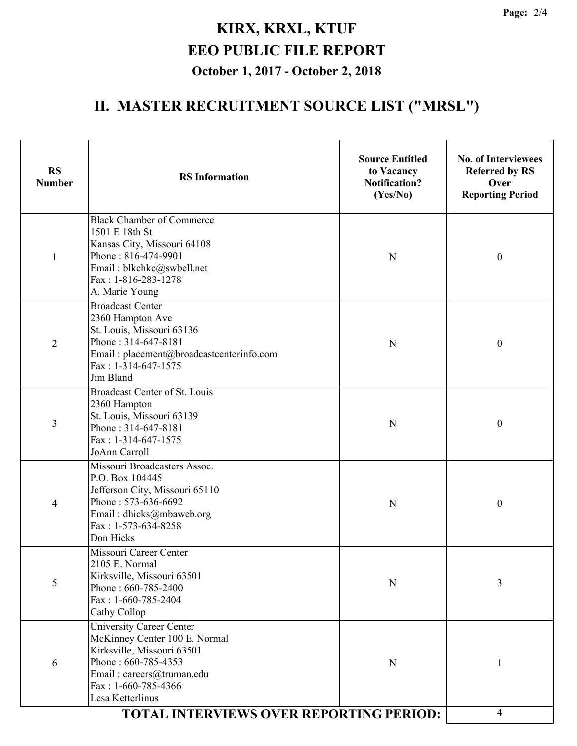# **II. MASTER RECRUITMENT SOURCE LIST ("MRSL")**

| <b>RS</b><br><b>Number</b> | <b>RS</b> Information                                                                                                                                                                           | <b>Source Entitled</b><br>to Vacancy<br><b>Notification?</b><br>(Yes/No) | <b>No. of Interviewees</b><br><b>Referred by RS</b><br>Over<br><b>Reporting Period</b> |
|----------------------------|-------------------------------------------------------------------------------------------------------------------------------------------------------------------------------------------------|--------------------------------------------------------------------------|----------------------------------------------------------------------------------------|
| 1                          | <b>Black Chamber of Commerce</b><br>1501 E 18th St<br>Kansas City, Missouri 64108<br>Phone: 816-474-9901<br>Email: blkchkc@swbell.net<br>Fax: 1-816-283-1278<br>A. Marie Young                  | N                                                                        | $\boldsymbol{0}$                                                                       |
| $\overline{2}$             | <b>Broadcast Center</b><br>2360 Hampton Ave<br>St. Louis, Missouri 63136<br>Phone: 314-647-8181<br>Email: placement@broadcastcenterinfo.com<br>$Fax: 1-314-647-1575$<br>Jim Bland               | $\mathbf N$                                                              | $\boldsymbol{0}$                                                                       |
| 3                          | Broadcast Center of St. Louis<br>2360 Hampton<br>St. Louis, Missouri 63139<br>Phone: 314-647-8181<br>Fax: 1-314-647-1575<br>JoAnn Carroll                                                       | N                                                                        | $\boldsymbol{0}$                                                                       |
| 4                          | Missouri Broadcasters Assoc.<br>P.O. Box 104445<br>Jefferson City, Missouri 65110<br>Phone: 573-636-6692<br>Email: dhicks@mbaweb.org<br>Fax: 1-573-634-8258<br>Don Hicks                        | N                                                                        | $\boldsymbol{0}$                                                                       |
| 5                          | Missouri Career Center<br>2105 E. Normal<br>Kirksville, Missouri 63501<br>Phone: 660-785-2400<br>Fax: $1-660-785-2404$<br>Cathy Collop                                                          | N                                                                        | 3                                                                                      |
| 6                          | <b>University Career Center</b><br>McKinney Center 100 E. Normal<br>Kirksville, Missouri 63501<br>Phone: 660-785-4353<br>Email: careers@truman.edu<br>Fax: $1-660-785-4366$<br>Lesa Ketterlinus | ${\bf N}$                                                                |                                                                                        |
|                            | <b>TOTAL INTERVIEWS OVER REPORTING PERIOD:</b>                                                                                                                                                  |                                                                          | 4                                                                                      |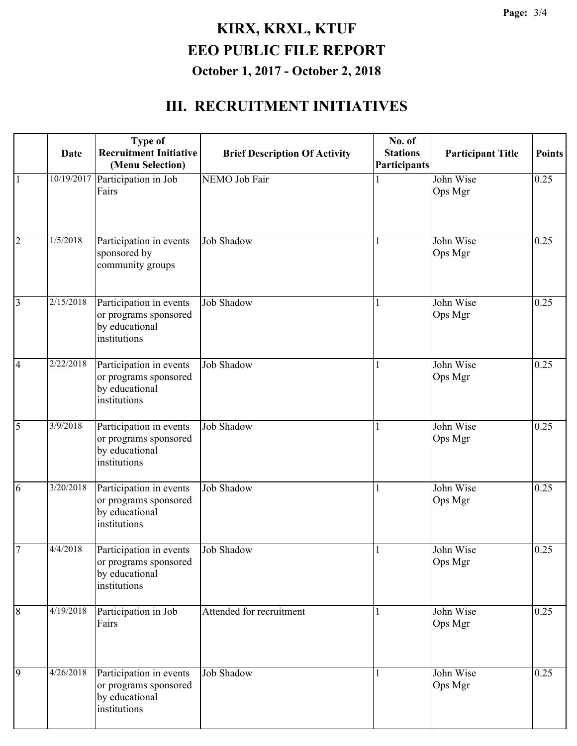#### **III. RECRUITMENT INITIATIVES**

|                | Date                | <b>Type of</b><br><b>Recruitment Initiative</b><br>(Menu Selection)                | <b>Brief Description Of Activity</b> | No. of<br><b>Stations</b><br>Participants | <b>Participant Title</b> | <b>Points</b> |
|----------------|---------------------|------------------------------------------------------------------------------------|--------------------------------------|-------------------------------------------|--------------------------|---------------|
| $\vert$ 1      | 10/19/2017          | Participation in Job<br>Fairs                                                      | <b>NEMO</b> Job Fair                 |                                           | John Wise<br>Ops Mgr     | 0.25          |
| $\overline{2}$ | 1/5/2018            | Participation in events<br>sponsored by<br>community groups                        | <b>Job Shadow</b>                    |                                           | John Wise<br>Ops Mgr     | 0.25          |
| $\overline{3}$ | $\frac{2}{15/2018}$ | Participation in events<br>or programs sponsored<br>by educational<br>institutions | <b>Job Shadow</b>                    | 1                                         | John Wise<br>Ops Mgr     | 0.25          |
| $\overline{4}$ | 2/22/2018           | Participation in events<br>or programs sponsored<br>by educational<br>institutions | <b>Job Shadow</b>                    |                                           | John Wise<br>Ops Mgr     | 0.25          |
| $\overline{5}$ | 3/9/2018            | Participation in events<br>or programs sponsored<br>by educational<br>institutions | <b>Job Shadow</b>                    |                                           | John Wise<br>Ops Mgr     | 0.25          |
| 6              | $\frac{3}{20/2018}$ | Participation in events<br>or programs sponsored<br>by educational<br>institutions | <b>Job Shadow</b>                    |                                           | John Wise<br>Ops Mgr     | 0.25          |
| $\overline{7}$ | 4/4/2018            | Participation in events<br>or programs sponsored<br>by educational<br>institutions | <b>Job Shadow</b>                    |                                           | John Wise<br>Ops Mgr     | 0.25          |
| $\overline{8}$ | 4/19/2018           | Participation in Job<br>Fairs                                                      | Attended for recruitment             |                                           | John Wise<br>Ops Mgr     | 0.25          |
| $\overline{9}$ | 4/26/2018           | Participation in events<br>or programs sponsored<br>by educational<br>institutions | <b>Job Shadow</b>                    |                                           | John Wise<br>Ops Mgr     | 0.25          |